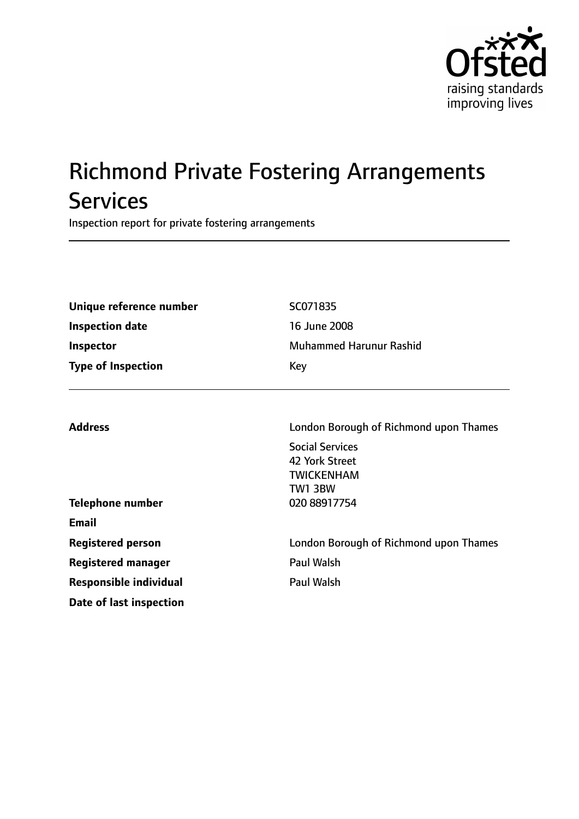

# Richmond Private Fostering Arrangements **Services**

Inspection report for private fostering arrangements

| Unique reference number<br><b>Inspection date</b><br>Inspector | SC071835<br>16 June 2008<br><b>Muhammed Harunur Rashid</b>                      |  |
|----------------------------------------------------------------|---------------------------------------------------------------------------------|--|
| <b>Type of Inspection</b><br>Key                               |                                                                                 |  |
| <b>Address</b>                                                 | London Borough of Richmond upon Thames                                          |  |
|                                                                | <b>Social Services</b><br>42 York Street<br><b>TWICKENHAM</b><br><b>TW1 3BW</b> |  |
| <b>Telephone number</b>                                        | 020 88917754                                                                    |  |
| <b>Email</b>                                                   |                                                                                 |  |
| <b>Registered person</b>                                       | London Borough of Richmond upon Thames                                          |  |
| <b>Registered manager</b>                                      | <b>Paul Walsh</b>                                                               |  |
| <b>Responsible individual</b>                                  | <b>Paul Walsh</b>                                                               |  |
| Date of last inspection                                        |                                                                                 |  |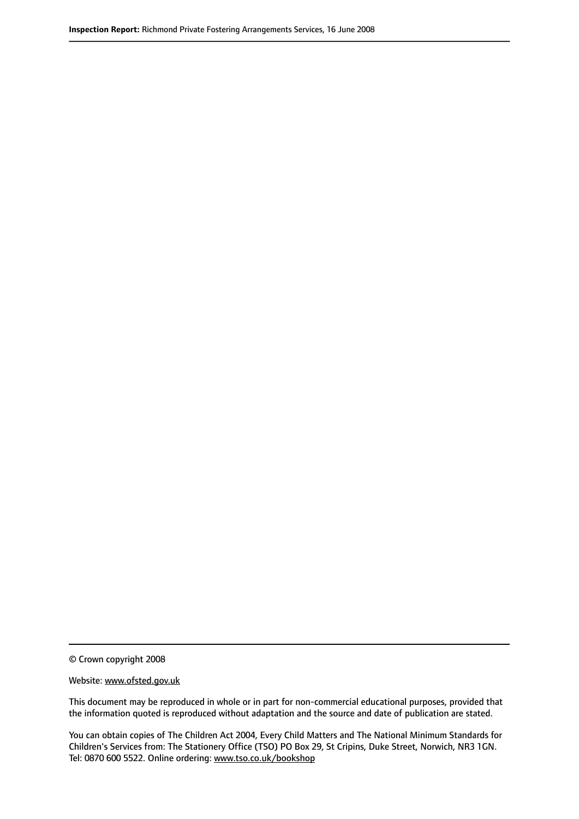© Crown copyright 2008

Website: www.ofsted.gov.uk

This document may be reproduced in whole or in part for non-commercial educational purposes, provided that the information quoted is reproduced without adaptation and the source and date of publication are stated.

You can obtain copies of The Children Act 2004, Every Child Matters and The National Minimum Standards for Children's Services from: The Stationery Office (TSO) PO Box 29, St Cripins, Duke Street, Norwich, NR3 1GN. Tel: 0870 600 5522. Online ordering: www.tso.co.uk/bookshop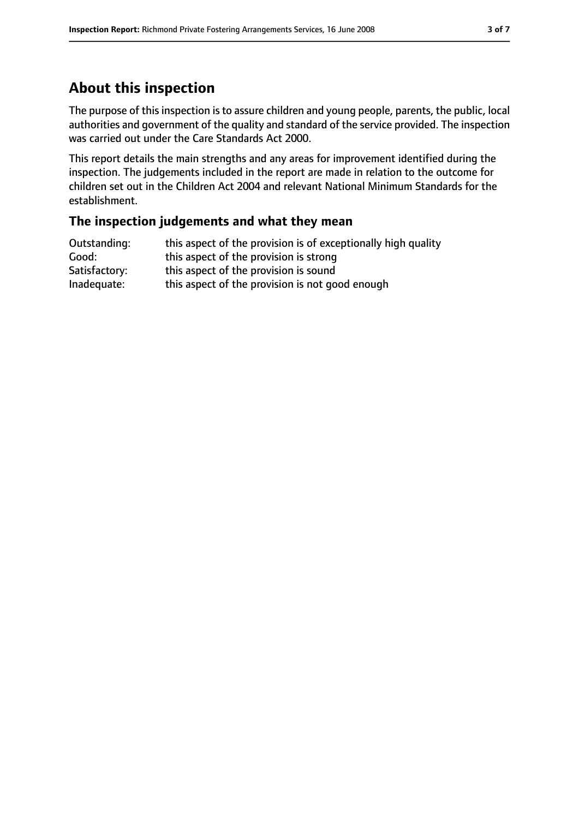# **About this inspection**

The purpose of this inspection is to assure children and young people, parents, the public, local authorities and government of the quality and standard of the service provided. The inspection was carried out under the Care Standards Act 2000.

This report details the main strengths and any areas for improvement identified during the inspection. The judgements included in the report are made in relation to the outcome for children set out in the Children Act 2004 and relevant National Minimum Standards for the establishment.

#### **The inspection judgements and what they mean**

| Outstanding:  | this aspect of the provision is of exceptionally high quality |
|---------------|---------------------------------------------------------------|
| Good:         | this aspect of the provision is strong                        |
| Satisfactory: | this aspect of the provision is sound                         |
| Inadequate:   | this aspect of the provision is not good enough               |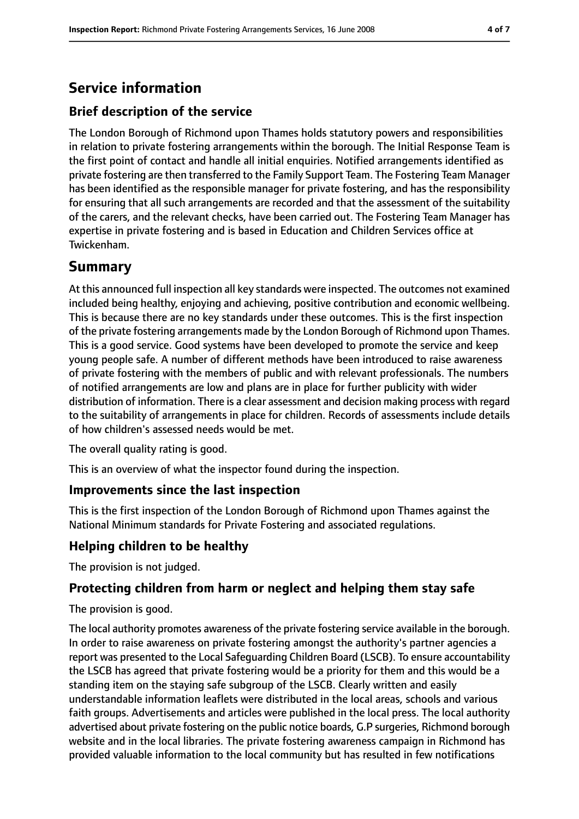# **Service information**

# **Brief description of the service**

The London Borough of Richmond upon Thames holds statutory powers and responsibilities in relation to private fostering arrangements within the borough. The Initial Response Team is the first point of contact and handle all initial enquiries. Notified arrangements identified as private fostering are then transferred to the Family Support Team. The Fostering Team Manager has been identified as the responsible manager for private fostering, and has the responsibility for ensuring that all such arrangements are recorded and that the assessment of the suitability of the carers, and the relevant checks, have been carried out. The Fostering Team Manager has expertise in private fostering and is based in Education and Children Services office at Twickenham.

# **Summary**

At this announced full inspection all key standards were inspected. The outcomes not examined included being healthy, enjoying and achieving, positive contribution and economic wellbeing. This is because there are no key standards under these outcomes. This is the first inspection of the private fostering arrangements made by the London Borough of Richmond upon Thames. This is a good service. Good systems have been developed to promote the service and keep young people safe. A number of different methods have been introduced to raise awareness of private fostering with the members of public and with relevant professionals. The numbers of notified arrangements are low and plans are in place for further publicity with wider distribution of information. There is a clear assessment and decision making process with regard to the suitability of arrangements in place for children. Records of assessments include details of how children's assessed needs would be met.

The overall quality rating is good.

This is an overview of what the inspector found during the inspection.

# **Improvements since the last inspection**

This is the first inspection of the London Borough of Richmond upon Thames against the National Minimum standards for Private Fostering and associated regulations.

# **Helping children to be healthy**

The provision is not judged.

# **Protecting children from harm or neglect and helping them stay safe**

The provision is good.

The local authority promotes awareness of the private fostering service available in the borough. In order to raise awareness on private fostering amongst the authority's partner agencies a report was presented to the Local Safeguarding Children Board (LSCB). To ensure accountability the LSCB has agreed that private fostering would be a priority for them and this would be a standing item on the staying safe subgroup of the LSCB. Clearly written and easily understandable information leaflets were distributed in the local areas, schools and various faith groups. Advertisements and articles were published in the local press. The local authority advertised about private fostering on the public notice boards, G.P surgeries, Richmond borough website and in the local libraries. The private fostering awareness campaign in Richmond has provided valuable information to the local community but has resulted in few notifications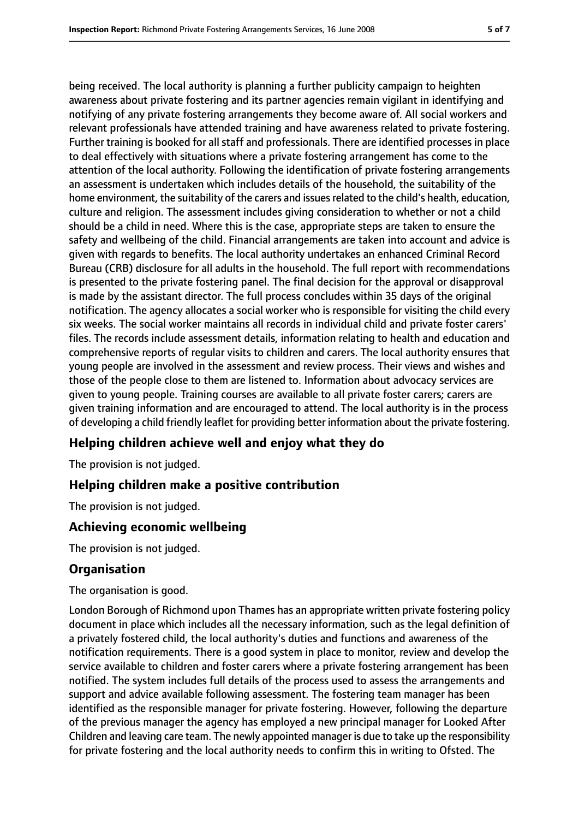being received. The local authority is planning a further publicity campaign to heighten awareness about private fostering and its partner agencies remain vigilant in identifying and notifying of any private fostering arrangements they become aware of. All social workers and relevant professionals have attended training and have awareness related to private fostering. Further training is booked for all staff and professionals. There are identified processes in place to deal effectively with situations where a private fostering arrangement has come to the attention of the local authority. Following the identification of private fostering arrangements an assessment is undertaken which includes details of the household, the suitability of the home environment, the suitability of the carers and issues related to the child's health, education, culture and religion. The assessment includes giving consideration to whether or not a child should be a child in need. Where this is the case, appropriate steps are taken to ensure the safety and wellbeing of the child. Financial arrangements are taken into account and advice is given with regards to benefits. The local authority undertakes an enhanced Criminal Record Bureau (CRB) disclosure for all adults in the household. The full report with recommendations is presented to the private fostering panel. The final decision for the approval or disapproval is made by the assistant director. The full process concludes within 35 days of the original notification. The agency allocates a social worker who is responsible for visiting the child every six weeks. The social worker maintains all records in individual child and private foster carers' files. The records include assessment details, information relating to health and education and comprehensive reports of regular visits to children and carers. The local authority ensures that young people are involved in the assessment and review process. Their views and wishes and those of the people close to them are listened to. Information about advocacy services are given to young people. Training courses are available to all private foster carers; carers are given training information and are encouraged to attend. The local authority is in the process of developing a child friendly leaflet for providing better information about the private fostering.

# **Helping children achieve well and enjoy what they do**

The provision is not judged.

# **Helping children make a positive contribution**

The provision is not judged.

# **Achieving economic wellbeing**

The provision is not judged.

# **Organisation**

The organisation is good.

London Borough of Richmond upon Thames has an appropriate written private fostering policy document in place which includes all the necessary information, such as the legal definition of a privately fostered child, the local authority's duties and functions and awareness of the notification requirements. There is a good system in place to monitor, review and develop the service available to children and foster carers where a private fostering arrangement has been notified. The system includes full details of the process used to assess the arrangements and support and advice available following assessment. The fostering team manager has been identified as the responsible manager for private fostering. However, following the departure of the previous manager the agency has employed a new principal manager for Looked After Children and leaving care team. The newly appointed manager is due to take up the responsibility for private fostering and the local authority needs to confirm this in writing to Ofsted. The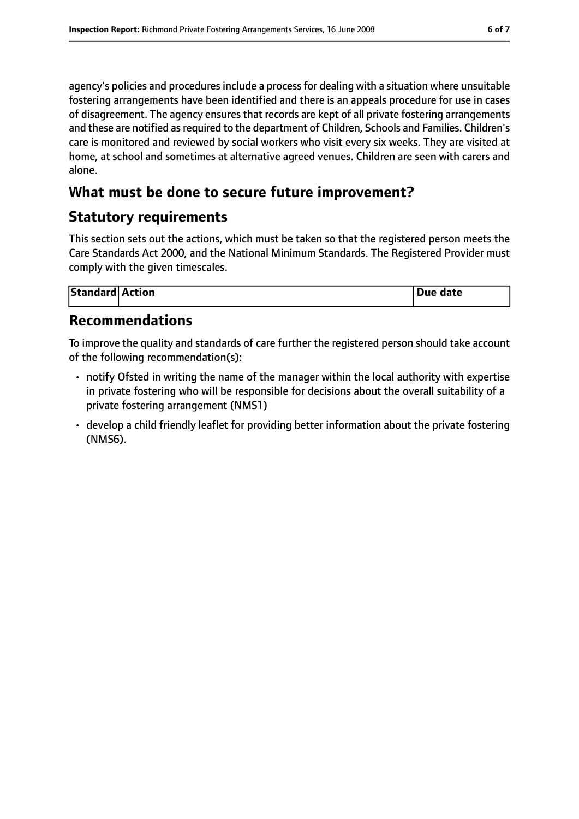agency's policies and procedures include a process for dealing with a situation where unsuitable fostering arrangements have been identified and there is an appeals procedure for use in cases of disagreement. The agency ensures that records are kept of all private fostering arrangements and these are notified as required to the department of Children, Schools and Families. Children's care is monitored and reviewed by social workers who visit every six weeks. They are visited at home, at school and sometimes at alternative agreed venues. Children are seen with carers and alone.

# **What must be done to secure future improvement?**

# **Statutory requirements**

This section sets out the actions, which must be taken so that the registered person meets the Care Standards Act 2000, and the National Minimum Standards. The Registered Provider must comply with the given timescales.

| <b>Standard Action</b> |  | Due date |
|------------------------|--|----------|
|------------------------|--|----------|

# **Recommendations**

To improve the quality and standards of care further the registered person should take account of the following recommendation(s):

- notify Ofsted in writing the name of the manager within the local authority with expertise in private fostering who will be responsible for decisions about the overall suitability of a private fostering arrangement (NMS1)
- develop a child friendly leaflet for providing better information about the private fostering (NMS6).